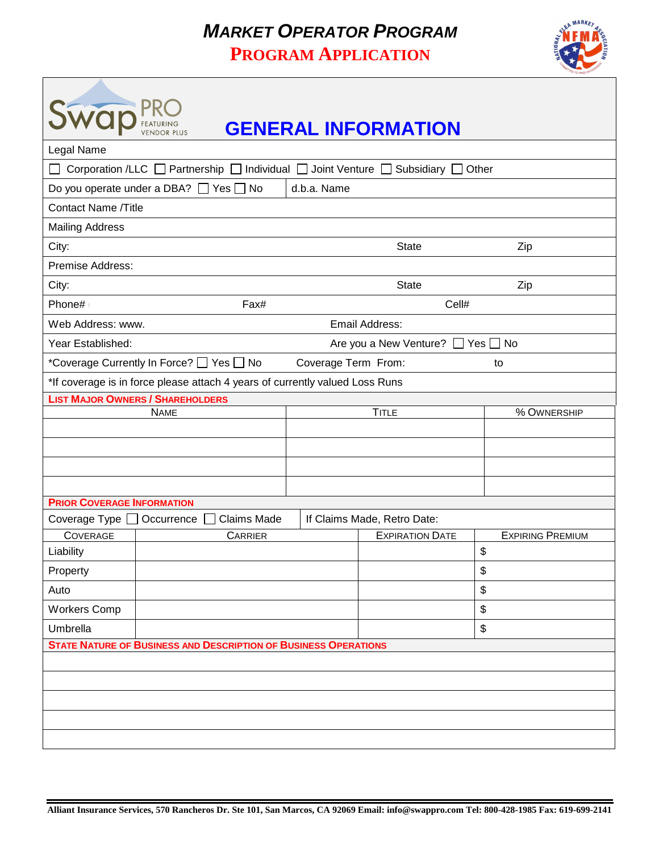## *MARKET OPERATOR PROGRAM* **PROGRAM APPLICATION**

 $\sqrt{ }$ 



| wap                               |                                                                                                           |                             | <b>GENERAL INFORMATION</b>        |                                    |  |
|-----------------------------------|-----------------------------------------------------------------------------------------------------------|-----------------------------|-----------------------------------|------------------------------------|--|
| Legal Name                        |                                                                                                           |                             |                                   |                                    |  |
|                                   | Corporation /LLC $\Box$ Partnership $\Box$ Individual $\Box$ Joint Venture $\Box$ Subsidiary $\Box$ Other |                             |                                   |                                    |  |
|                                   | Do you operate under a DBA? $\Box$ Yes $\Box$ No                                                          | d.b.a. Name                 |                                   |                                    |  |
| <b>Contact Name /Title</b>        |                                                                                                           |                             |                                   |                                    |  |
| <b>Mailing Address</b>            |                                                                                                           |                             |                                   |                                    |  |
| City:                             |                                                                                                           |                             | State WY                          | Zip<br>$\mathbf{v}$                |  |
| Premise Address:                  |                                                                                                           |                             |                                   |                                    |  |
| City:                             |                                                                                                           |                             | State WY                          | Zip<br>$\left  \mathbf{v} \right $ |  |
| Phone#                            | Fax#                                                                                                      |                             | Cell#                             |                                    |  |
| Web Address: www.                 |                                                                                                           |                             | Email Address:                    |                                    |  |
| Year Established:                 |                                                                                                           |                             | Are you a New Venture? □ Yes □ No |                                    |  |
|                                   | *Coverage Currently In Force? [ Yes   No                                                                  | Coverage Term From:         |                                   | to                                 |  |
|                                   | *If coverage is in force please attach 4 years of currently valued Loss Runs                              |                             |                                   |                                    |  |
|                                   | <b>LIST MAJOR OWNERS / SHAREHOLDERS</b>                                                                   |                             |                                   |                                    |  |
|                                   | <b>NAME</b>                                                                                               |                             | <b>TITLE</b>                      | % OWNERSHIP                        |  |
|                                   |                                                                                                           |                             |                                   |                                    |  |
|                                   |                                                                                                           |                             |                                   |                                    |  |
|                                   |                                                                                                           |                             |                                   |                                    |  |
|                                   |                                                                                                           |                             |                                   |                                    |  |
| <b>PRIOR COVERAGE INFORMATION</b> |                                                                                                           |                             |                                   |                                    |  |
| Coverage Type                     | <b>Claims Made</b><br>Occurrence                                                                          | If Claims Made, Retro Date: |                                   |                                    |  |
| COVERAGE                          | CARRIER                                                                                                   |                             | <b>EXPIRATION DATE</b>            | <b>EXPIRING PREMIUM</b>            |  |
| Liability                         |                                                                                                           |                             |                                   | \$                                 |  |
| Property                          |                                                                                                           |                             |                                   | \$                                 |  |
| Auto                              |                                                                                                           |                             |                                   | $\boldsymbol{\mathsf{S}}$          |  |
| <b>Workers Comp</b>               |                                                                                                           |                             |                                   | $\boldsymbol{\mathsf{S}}$          |  |
| Umbrella                          |                                                                                                           |                             |                                   | \$                                 |  |
|                                   | <b>STATE NATURE OF BUSINESS AND DESCRIPTION OF BUSINESS OPERATIONS</b>                                    |                             |                                   |                                    |  |
|                                   |                                                                                                           |                             |                                   |                                    |  |
|                                   |                                                                                                           |                             |                                   |                                    |  |
|                                   |                                                                                                           |                             |                                   |                                    |  |
|                                   |                                                                                                           |                             |                                   |                                    |  |
|                                   |                                                                                                           |                             |                                   |                                    |  |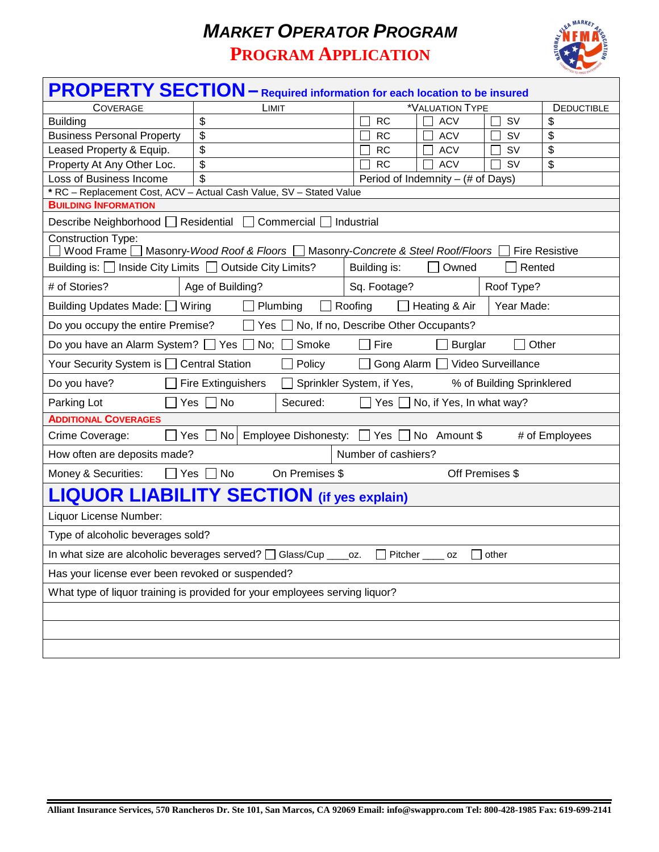## *MARKET OPERATOR PROGRAM* **PROGRAM APPLICATION**



| <b>PROPERTY SECTION</b> – Required information for each location to be insured                                                       |                                                                     |                                           |           |                |  |  |  |  |  |
|--------------------------------------------------------------------------------------------------------------------------------------|---------------------------------------------------------------------|-------------------------------------------|-----------|----------------|--|--|--|--|--|
| <b>COVERAGE</b>                                                                                                                      | LIMIT                                                               | *VALUATION TYPE                           |           | DEDUCTIBLE     |  |  |  |  |  |
| <b>Building</b>                                                                                                                      | \$                                                                  | <b>RC</b><br><b>ACV</b>                   | SV        | \$             |  |  |  |  |  |
| <b>Business Personal Property</b>                                                                                                    | \$                                                                  | <b>RC</b><br><b>ACV</b>                   | SV        | \$             |  |  |  |  |  |
| Leased Property & Equip.                                                                                                             | \$                                                                  | <b>RC</b><br><b>ACV</b>                   | SV        | \$             |  |  |  |  |  |
| Property At Any Other Loc.                                                                                                           | \$                                                                  | <b>ACV</b><br><b>RC</b>                   | <b>SV</b> | \$             |  |  |  |  |  |
| \$<br>Loss of Business Income<br>Period of Indemnity - (# of Days)                                                                   |                                                                     |                                           |           |                |  |  |  |  |  |
|                                                                                                                                      | * RC - Replacement Cost, ACV - Actual Cash Value, SV - Stated Value |                                           |           |                |  |  |  |  |  |
| <b>BUILDING INFORMATION</b>                                                                                                          |                                                                     |                                           |           |                |  |  |  |  |  |
|                                                                                                                                      | Describe Neighborhood   Residential   Commercial   Industrial       |                                           |           |                |  |  |  |  |  |
| <b>Construction Type:</b><br>Wood Frame ■ Masonry-Wood Roof & Floors ■ Masonry-Concrete & Steel Roof/Floors<br><b>Fire Resistive</b> |                                                                     |                                           |           |                |  |  |  |  |  |
| Building is: □ Inside City Limits □ Outside City Limits?                                                                             | Building is:<br>Owned                                               | Rented                                    |           |                |  |  |  |  |  |
| # of Stories?<br>Age of Building?                                                                                                    | Sq. Footage?                                                        | Roof Type?                                |           |                |  |  |  |  |  |
| Roofing<br>Heating & Air<br>Year Made:<br>Building Updates Made: Viring<br>Plumbing                                                  |                                                                     |                                           |           |                |  |  |  |  |  |
| Do you occupy the entire Premise?                                                                                                    |                                                                     | Yes No, If no, Describe Other Occupants?  |           |                |  |  |  |  |  |
| Do you have an Alarm System? □ Yes □ No;<br>Other<br>Smoke<br>Fire<br><b>Burglar</b>                                                 |                                                                     |                                           |           |                |  |  |  |  |  |
| Gong Alarm   Video Surveillance<br>Your Security System is □ Central Station<br>Policy                                               |                                                                     |                                           |           |                |  |  |  |  |  |
| Do you have?<br><b>Fire Extinguishers</b><br>Sprinkler System, if Yes,<br>% of Building Sprinklered                                  |                                                                     |                                           |           |                |  |  |  |  |  |
| $\Box$ No<br>No, if Yes, In what way?<br>Parking Lot<br>Yes  <br>Secured:<br>Yes                                                     |                                                                     |                                           |           |                |  |  |  |  |  |
| <b>ADDITIONAL COVERAGES</b>                                                                                                          |                                                                     |                                           |           |                |  |  |  |  |  |
| Crime Coverage:<br>Yes                                                                                                               | No                                                                  | Employee Dishonesty: □ Yes □ No Amount \$ |           | # of Employees |  |  |  |  |  |
| Number of cashiers?<br>How often are deposits made?                                                                                  |                                                                     |                                           |           |                |  |  |  |  |  |
| Off Premises \$<br>Money & Securities:<br>$\Box$ Yes<br>No<br>On Premises \$                                                         |                                                                     |                                           |           |                |  |  |  |  |  |
|                                                                                                                                      | <b>LIQUOR LIABILITY SECTION</b> (if yes explain)                    |                                           |           |                |  |  |  |  |  |
| Liquor License Number:                                                                                                               |                                                                     |                                           |           |                |  |  |  |  |  |
| Type of alcoholic beverages sold?                                                                                                    |                                                                     |                                           |           |                |  |  |  |  |  |
| In what size are alcoholic beverages served? □ Glass/Cup ___<br>Pitcher _____ oz<br>$\vert$ other<br>OZ.                             |                                                                     |                                           |           |                |  |  |  |  |  |
|                                                                                                                                      | Has your license ever been revoked or suspended?                    |                                           |           |                |  |  |  |  |  |
| What type of liquor training is provided for your employees serving liquor?                                                          |                                                                     |                                           |           |                |  |  |  |  |  |
|                                                                                                                                      |                                                                     |                                           |           |                |  |  |  |  |  |
|                                                                                                                                      |                                                                     |                                           |           |                |  |  |  |  |  |
|                                                                                                                                      |                                                                     |                                           |           |                |  |  |  |  |  |